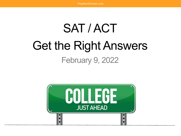## SAT / ACT Get the Right Answers February 9, 2022

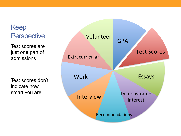## Keep

Test scores are just one part of admissions

Test scores don't indicate how smart you are

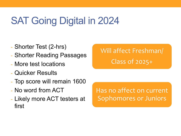## SAT Going Digital in 2024

- Shorter Test (2-hrs)
- Shorter Reading Passages
- More test locations
- Quicker Results
- Top score will remain 1600
- No word from ACT
- Likely more ACT testers at first

Has no affect on current Sophomores or Juniors

## Will affect Freshman/ Class of 2025+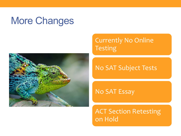## More Changes



#### Currently No Online Testing

#### No SAT Subject Tests

No SAT Essay

ACT Section Retesting on Hold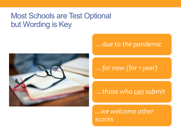### Most Schools are Test Optional but Wording is Key



#### *…due to the pandemic*

#### *…for now (for 1 year)*

*…those who can submit*

*...we welcome other scores*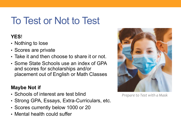## To Test or Not to Test

#### **YES**!

- Nothing to lose
- Scores are private
- Take it and then choose to share it or not.
- Some State Schools use an index of GPA and scores for scholarships and/or placement out of English or Math Classes

#### **Maybe Not if**

- Schools of interest are test blind
- Strong GPA, Essays, Extra-Curriculars, etc.
- Scores currently below 1000 or 20
- Mental health could suffer



*Prepare to Test with a Mask*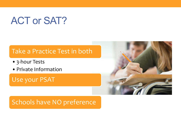## ACT or SAT?

#### Take a Practice Test in both

- •3-hour Tests
- •Private Information

Use your PSAT



#### Schools have NO preference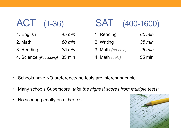| <b>ACT</b> | $(1 - 36)$ |
|------------|------------|
|            |            |

| 1. English                    | $45$ min         |
|-------------------------------|------------------|
| 2. Math                       | 60 min           |
| 3. Reading                    | $35 \text{ min}$ |
| 4. Science (Reasoning) 35 min |                  |

| ACT | $(1 - 36)$ | <b>SAT</b> | $(400 - 1600)$ |
|-----|------------|------------|----------------|
|-----|------------|------------|----------------|

| 1. Reading        | 65 min           |
|-------------------|------------------|
| 2. Writing        | $35 \text{ min}$ |
| 3. Math (no calc) | $25 \text{ min}$ |
| 4. Math $(calc)$  | 55 min           |

- Schools have NO preference/the tests are interchangeable
- Many schools Superscore *(take the highest scores from multiple tests)*
- No scoring penalty on either test

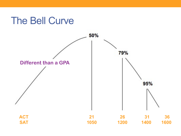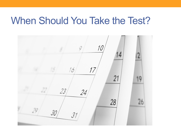## When Should You Take the Test?

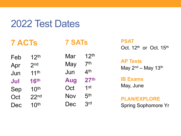## 2022 Test Dates

| Feb | 12 <sup>th</sup> |
|-----|------------------|
| Apr | 2 <sub>nd</sub>  |
| Jun | 11 <sup>th</sup> |
| Jul | <b>16th</b>      |
| Sep | 10 <sup>th</sup> |
| Oct | 22 <sub>nd</sub> |
| Dec | 10 <sup>th</sup> |

| Mar        | 12 <sup>th</sup> |
|------------|------------------|
| May        | $7^{\rm th}$     |
| Jun        | 4 <sup>th</sup>  |
| <b>Aug</b> | 27 <sup>th</sup> |
| Oct        | <b>1</b> st      |
| Nov        | 5 <sup>th</sup>  |
| Dec        | <b>Rrd</b>       |

**7 SATs** 

**PSAT** Oct. 12<sup>th</sup> or Oct. 15<sup>th</sup>

**AP Tests** May  $2<sup>nd</sup>$  – May 13<sup>th</sup>

**IB Exams** May, June

**PLAN/EXPLORE** Spring Sophomore Yr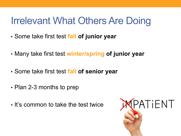## Irrelevant What Others Are Doing

- Some take first test **fall of junior year**
- Many take first test **winter/spring of junior year**
- Some take first test **fall of senior year**
- Plan 2-3 months to prep
- It's common to take the test twice

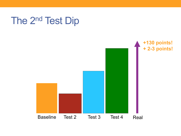

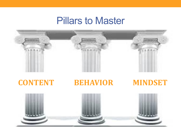## Pillars to Master



#### **CONTENT BEHAVIOR MINDSET**

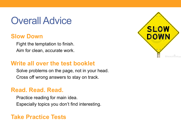## Overall Advice

#### **Slow Down**

Fight the temptation to finish. Aim for clean, accurate work.

#### **Write all over the test booklet**

Solve problems on the page, not in your head. Cross off wrong answers to stay on track.

#### **Read. Read. Read.**

Practice reading for main idea. Especially topics you don't find interesting.

#### **Take Practice Tests**